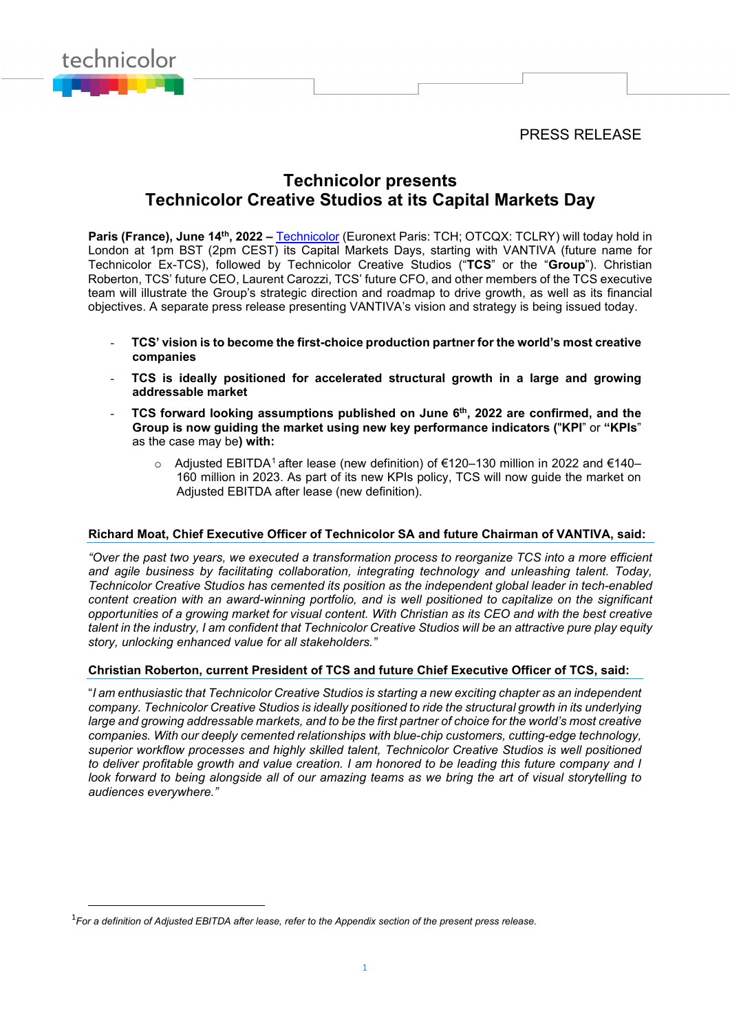PRESS RELEASE



## **Technicolor presents Technicolor Creative Studios at its Capital Markets Day**

Paris (France), June 14<sup>th</sup>, 2022 – [Technicolor](http://www.technicolor.com/) (Euronext Paris: TCH; OTCQX: TCLRY) will today hold in London at 1pm BST (2pm CEST) its Capital Markets Days, starting with VANTIVA (future name for Technicolor Ex-TCS), followed by Technicolor Creative Studios ("**TCS**" or the "**Group**"). Christian Roberton, TCS' future CEO, Laurent Carozzi, TCS' future CFO, and other members of the TCS executive team will illustrate the Group's strategic direction and roadmap to drive growth, as well as its financial objectives. A separate press release presenting VANTIVA's vision and strategy is being issued today.

- **TCS' vision is to become the first-choice production partner for the world's most creative companies**
- **TCS is ideally positioned for accelerated structural growth in a large and growing addressable market**
- **TCS forward looking assumptions published on June 6th, 2022 are confirmed, and the Group is now guiding the market using new key performance indicators (**"**KPI**" or **"KPIs**" as the case may be**) with:** 
	- o Adjusted EBITDA[1](#page-0-0) after lease (new definition) of €120–130 million in 2022 and €140– 160 million in 2023. As part of its new KPIs policy, TCS will now guide the market on Adjusted EBITDA after lease (new definition).

## **Richard Moat, Chief Executive Officer of Technicolor SA and future Chairman of VANTIVA, said:**

*"Over the past two years, we executed a transformation process to reorganize TCS into a more efficient and agile business by facilitating collaboration, integrating technology and unleashing talent. Today, Technicolor Creative Studios has cemented its position as the independent global leader in tech-enabled content creation with an award-winning portfolio, and is well positioned to capitalize on the significant opportunities of a growing market for visual content. With Christian as its CEO and with the best creative talent in the industry, I am confident that Technicolor Creative Studios will be an attractive pure play equity story, unlocking enhanced value for all stakeholders."*

## **Christian Roberton, current President of TCS and future Chief Executive Officer of TCS, said:**

"*I am enthusiastic that Technicolor Creative Studios is starting a new exciting chapter as an independent company. Technicolor Creative Studios is ideally positioned to ride the structural growth in its underlying large and growing addressable markets, and to be the first partner of choice for the world's most creative companies. With our deeply cemented relationships with blue-chip customers, cutting-edge technology, superior workflow processes and highly skilled talent, Technicolor Creative Studios is well positioned to deliver profitable growth and value creation. I am honored to be leading this future company and I look forward to being alongside all of our amazing teams as we bring the art of visual storytelling to audiences everywhere."*

<span id="page-0-0"></span><sup>1</sup> *For a definition of Adjusted EBITDA after lease, refer to the Appendix section of the present press release.*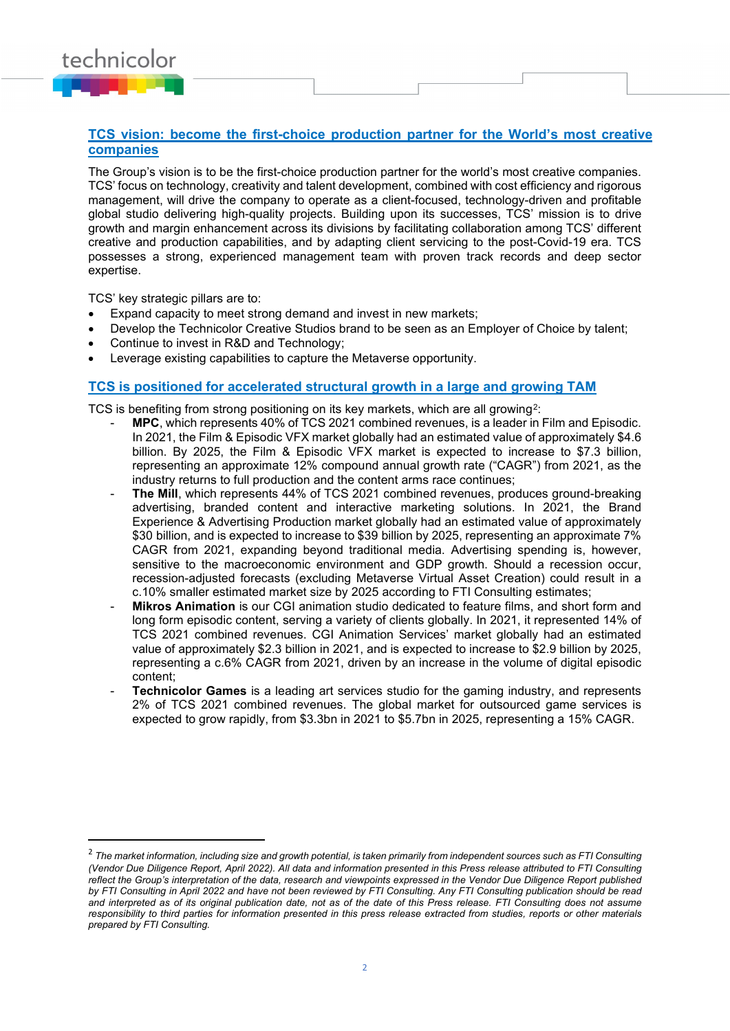## **TCS vision: become the first-choice production partner for the World's most creative companies**

The Group's vision is to be the first-choice production partner for the world's most creative companies. TCS' focus on technology, creativity and talent development, combined with cost efficiency and rigorous management, will drive the company to operate as a client-focused, technology-driven and profitable global studio delivering high-quality projects. Building upon its successes, TCS' mission is to drive growth and margin enhancement across its divisions by facilitating collaboration among TCS' different creative and production capabilities, and by adapting client servicing to the post-Covid-19 era. TCS possesses a strong, experienced management team with proven track records and deep sector expertise.

TCS' key strategic pillars are to:

technicolor

- Expand capacity to meet strong demand and invest in new markets;
- Develop the Technicolor Creative Studios brand to be seen as an Employer of Choice by talent;
- Continue to invest in R&D and Technology;
- Leverage existing capabilities to capture the Metaverse opportunity.

#### **TCS is positioned for accelerated structural growth in a large and growing TAM**

TCS is benefiting from strong positioning on its key markets, which are all growing<sup>2</sup>:

- **MPC**, which represents 40% of TCS 2021 combined revenues, is a leader in Film and Episodic. In 2021, the Film & Episodic VFX market globally had an estimated value of approximately \$4.6 billion. By 2025, the Film & Episodic VFX market is expected to increase to \$7.3 billion, representing an approximate 12% compound annual growth rate ("CAGR") from 2021, as the industry returns to full production and the content arms race continues;
- The Mill, which represents 44% of TCS 2021 combined revenues, produces ground-breaking advertising, branded content and interactive marketing solutions. In 2021, the Brand Experience & Advertising Production market globally had an estimated value of approximately \$30 billion, and is expected to increase to \$39 billion by 2025, representing an approximate 7% CAGR from 2021, expanding beyond traditional media. Advertising spending is, however, sensitive to the macroeconomic environment and GDP growth. Should a recession occur, recession-adjusted forecasts (excluding Metaverse Virtual Asset Creation) could result in a c.10% smaller estimated market size by 2025 according to FTI Consulting estimates;
- **Mikros Animation** is our CGI animation studio dedicated to feature films, and short form and long form episodic content, serving a variety of clients globally. In 2021, it represented 14% of TCS 2021 combined revenues. CGI Animation Services' market globally had an estimated value of approximately \$2.3 billion in 2021, and is expected to increase to \$2.9 billion by 2025, representing a c.6% CAGR from 2021, driven by an increase in the volume of digital episodic content;
- **Technicolor Games** is a leading art services studio for the gaming industry, and represents 2% of TCS 2021 combined revenues. The global market for outsourced game services is expected to grow rapidly, from \$3.3bn in 2021 to \$5.7bn in 2025, representing a 15% CAGR.

<span id="page-1-0"></span><sup>&</sup>lt;sup>2</sup> The market information, including size and growth potential, is taken primarily from independent sources such as FTI Consulting *(Vendor Due Diligence Report, April 2022). All data and information presented in this Press release attributed to FTI Consulting reflect the Group's interpretation of the data, research and viewpoints expressed in the Vendor Due Diligence Report published by FTI Consulting in April 2022 and have not been reviewed by FTI Consulting. Any FTI Consulting publication should be read and interpreted as of its original publication date, not as of the date of this Press release. FTI Consulting does not assume responsibility to third parties for information presented in this press release extracted from studies, reports or other materials prepared by FTI Consulting.*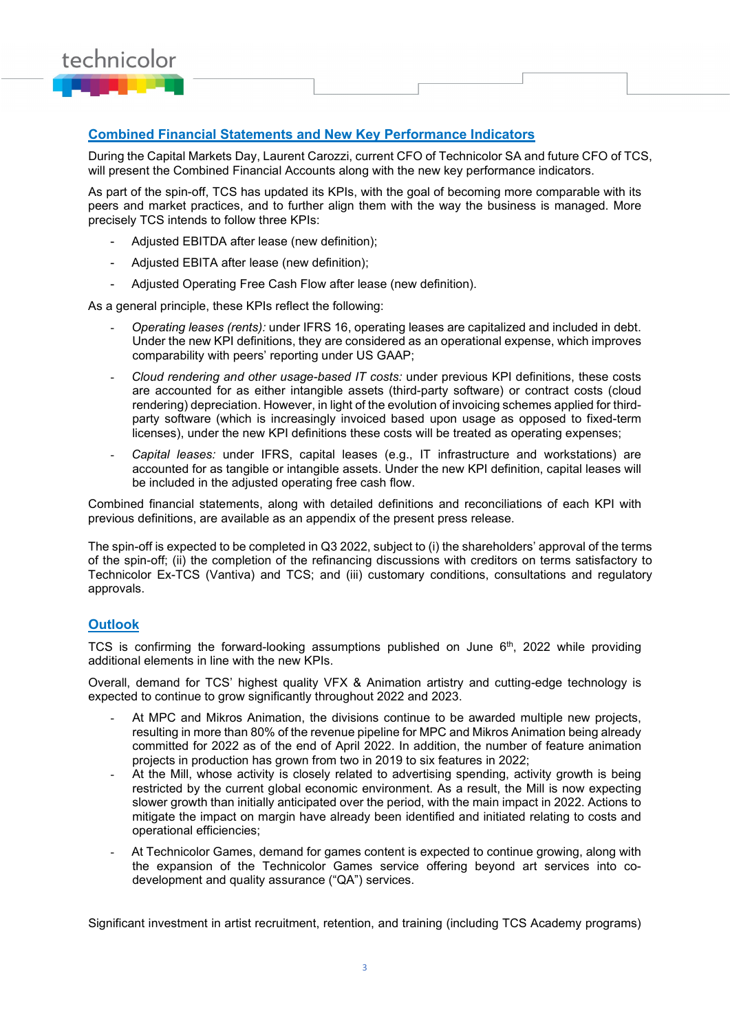

## **Combined Financial Statements and New Key Performance Indicators**

During the Capital Markets Day, Laurent Carozzi, current CFO of Technicolor SA and future CFO of TCS, will present the Combined Financial Accounts along with the new key performance indicators.

As part of the spin-off, TCS has updated its KPIs, with the goal of becoming more comparable with its peers and market practices, and to further align them with the way the business is managed. More precisely TCS intends to follow three KPIs:

- Adjusted EBITDA after lease (new definition);
- Adjusted EBITA after lease (new definition);
- Adjusted Operating Free Cash Flow after lease (new definition).

As a general principle, these KPIs reflect the following:

- *Operating leases (rents):* under IFRS 16, operating leases are capitalized and included in debt. Under the new KPI definitions, they are considered as an operational expense, which improves comparability with peers' reporting under US GAAP;
- *Cloud rendering and other usage-based IT costs:* under previous KPI definitions, these costs are accounted for as either intangible assets (third-party software) or contract costs (cloud rendering) depreciation. However, in light of the evolution of invoicing schemes applied for thirdparty software (which is increasingly invoiced based upon usage as opposed to fixed-term licenses), under the new KPI definitions these costs will be treated as operating expenses;
- *Capital leases:* under IFRS, capital leases (e.g., IT infrastructure and workstations) are accounted for as tangible or intangible assets. Under the new KPI definition, capital leases will be included in the adjusted operating free cash flow.

Combined financial statements, along with detailed definitions and reconciliations of each KPI with previous definitions, are available as an appendix of the present press release.

The spin-off is expected to be completed in Q3 2022, subject to (i) the shareholders' approval of the terms of the spin-off; (ii) the completion of the refinancing discussions with creditors on terms satisfactory to Technicolor Ex-TCS (Vantiva) and TCS; and (iii) customary conditions, consultations and regulatory approvals.

## **Outlook**

TCS is confirming the forward-looking assumptions published on June  $6<sup>th</sup>$ , 2022 while providing additional elements in line with the new KPIs.

Overall, demand for TCS' highest quality VFX & Animation artistry and cutting-edge technology is expected to continue to grow significantly throughout 2022 and 2023.

- At MPC and Mikros Animation, the divisions continue to be awarded multiple new projects, resulting in more than 80% of the revenue pipeline for MPC and Mikros Animation being already committed for 2022 as of the end of April 2022. In addition, the number of feature animation projects in production has grown from two in 2019 to six features in 2022;
- At the Mill, whose activity is closely related to advertising spending, activity growth is being restricted by the current global economic environment. As a result, the Mill is now expecting slower growth than initially anticipated over the period, with the main impact in 2022. Actions to mitigate the impact on margin have already been identified and initiated relating to costs and operational efficiencies;
- At Technicolor Games, demand for games content is expected to continue growing, along with the expansion of the Technicolor Games service offering beyond art services into codevelopment and quality assurance ("QA") services.

Significant investment in artist recruitment, retention, and training (including TCS Academy programs)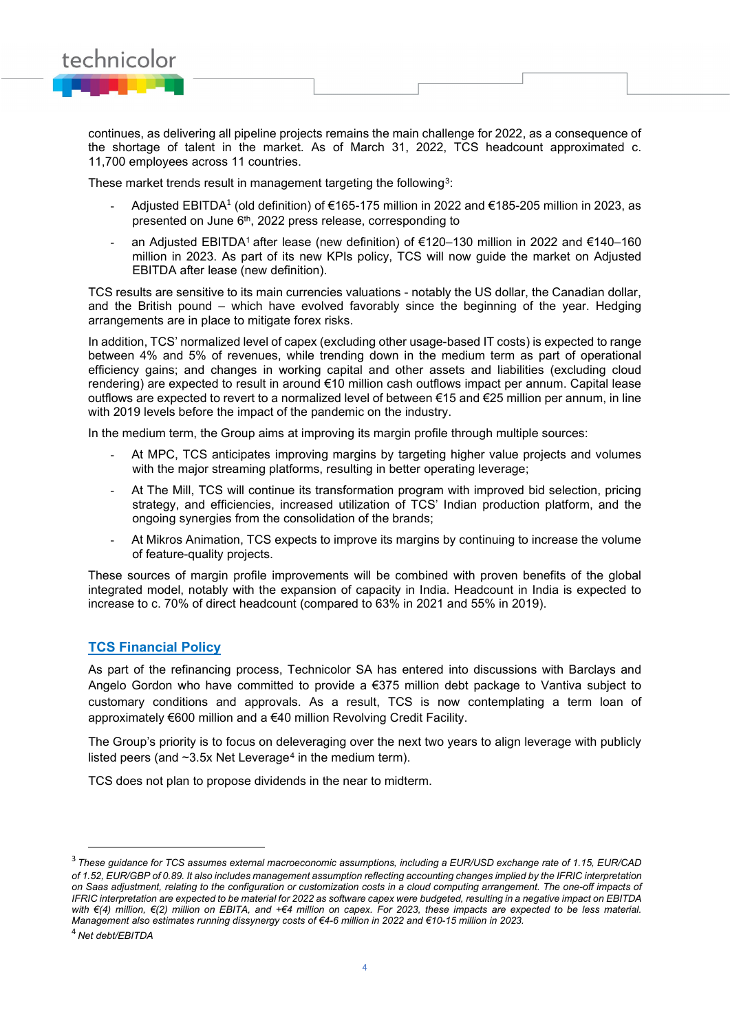

continues, as delivering all pipeline projects remains the main challenge for 2022, as a consequence of the shortage of talent in the market. As of March 31, 2022, TCS headcount approximated c. 11,700 employees across 11 countries.

These market trends result in management targeting the following<sup>3</sup>:

- Adjusted EBITDA<sup>1</sup> (old definition) of €165-175 million in 2022 and €185-205 million in 2023, as presented on June 6<sup>th</sup>, 2022 press release, corresponding to
- an Adjusted EBITDA1 after lease (new definition) of €120–130 million in 2022 and €140–160 million in 2023. As part of its new KPIs policy, TCS will now guide the market on Adjusted EBITDA after lease (new definition).

TCS results are sensitive to its main currencies valuations - notably the US dollar, the Canadian dollar, and the British pound – which have evolved favorably since the beginning of the year. Hedging arrangements are in place to mitigate forex risks.

In addition, TCS' normalized level of capex (excluding other usage-based IT costs) is expected to range between 4% and 5% of revenues, while trending down in the medium term as part of operational efficiency gains; and changes in working capital and other assets and liabilities (excluding cloud rendering) are expected to result in around €10 million cash outflows impact per annum. Capital lease outflows are expected to revert to a normalized level of between €15 and €25 million per annum, in line with 2019 levels before the impact of the pandemic on the industry.

In the medium term, the Group aims at improving its margin profile through multiple sources:

- At MPC, TCS anticipates improving margins by targeting higher value projects and volumes with the major streaming platforms, resulting in better operating leverage;
- At The Mill, TCS will continue its transformation program with improved bid selection, pricing strategy, and efficiencies, increased utilization of TCS' Indian production platform, and the ongoing synergies from the consolidation of the brands;
- At Mikros Animation, TCS expects to improve its margins by continuing to increase the volume of feature-quality projects.

These sources of margin profile improvements will be combined with proven benefits of the global integrated model, notably with the expansion of capacity in India. Headcount in India is expected to increase to c. 70% of direct headcount (compared to 63% in 2021 and 55% in 2019).

## **TCS Financial Policy**

As part of the refinancing process, Technicolor SA has entered into discussions with Barclays and Angelo Gordon who have committed to provide a €375 million debt package to Vantiva subject to customary conditions and approvals. As a result, TCS is now contemplating a term loan of approximately €600 million and a €40 million Revolving Credit Facility.

The Group's priority is to focus on deleveraging over the next two years to align leverage with publicly listed peers (and  $\sim$ 3.5x Net Leverage<sup>[4](#page-3-1)</sup> in the medium term).

TCS does not plan to propose dividends in the near to midterm.

<span id="page-3-0"></span><sup>3</sup>*These guidance for TCS assumes external macroeconomic assumptions, including a EUR/USD exchange rate of 1.15, EUR/CAD of 1.52, EUR/GBP of 0.89. It also includes management assumption reflecting accounting changes implied by the IFRIC interpretation*  on Saas adjustment, relating to the configuration or customization costs in a cloud computing arrangement. The one-off impacts of *IFRIC interpretation are expected to be material for 2022 as software capex were budgeted, resulting in a negative impact on EBITDA with €(4) million, €(2) million on EBITA, and +€4 million on capex. For 2023, these impacts are expected to be less material. Management also estimates running dissynergy costs of €4-6 million in 2022 and €10-15 million in 2023.*

<span id="page-3-1"></span><sup>4</sup>*Net debt/EBITDA*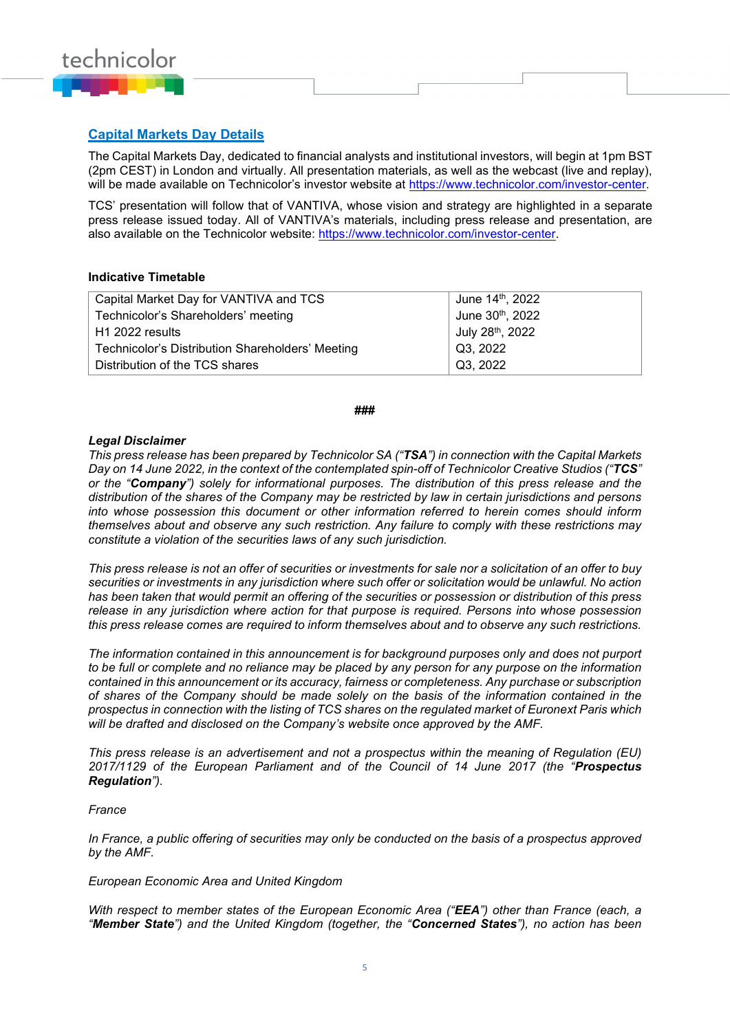

## **Capital Markets Day Details**

The Capital Markets Day, dedicated to financial analysts and institutional investors, will begin at 1pm BST (2pm CEST) in London and virtually. All presentation materials, as well as the webcast (live and replay), will be made available on Technicolor's investor website at [https://www.technicolor.com/investor-center.](https://www.technicolor.com/investor-center)

TCS' presentation will follow that of VANTIVA, whose vision and strategy are highlighted in a separate press release issued today. All of VANTIVA's materials, including press release and presentation, are also available on the Technicolor website: [https://www.technicolor.com/investor-center.](https://www.technicolor.com/investor-center)

#### **Indicative Timetable**

| Capital Market Day for VANTIVA and TCS           | June 14 <sup>th</sup> , 2022 |
|--------------------------------------------------|------------------------------|
| Technicolor's Shareholders' meeting              | June 30th, 2022              |
| H1 2022 results                                  | July 28 <sup>th</sup> , 2022 |
| Technicolor's Distribution Shareholders' Meeting | Q3, 2022                     |
| Distribution of the TCS shares                   | Q3, 2022                     |

#### **###**

#### *Legal Disclaimer*

*This press release has been prepared by Technicolor SA ("TSA") in connection with the Capital Markets Day on 14 June 2022, in the context of the contemplated spin-off of Technicolor Creative Studios ("TCS" or the "Company") solely for informational purposes. The distribution of this press release and the distribution of the shares of the Company may be restricted by law in certain jurisdictions and persons into whose possession this document or other information referred to herein comes should inform themselves about and observe any such restriction. Any failure to comply with these restrictions may constitute a violation of the securities laws of any such jurisdiction.*

*This press release is not an offer of securities or investments for sale nor a solicitation of an offer to buy securities or investments in any jurisdiction where such offer or solicitation would be unlawful. No action has been taken that would permit an offering of the securities or possession or distribution of this press release in any jurisdiction where action for that purpose is required. Persons into whose possession this press release comes are required to inform themselves about and to observe any such restrictions.*

*The information contained in this announcement is for background purposes only and does not purport to be full or complete and no reliance may be placed by any person for any purpose on the information contained in this announcement or its accuracy, fairness or completeness. Any purchase or subscription of shares of the Company should be made solely on the basis of the information contained in the prospectus in connection with the listing of TCS shares on the regulated market of Euronext Paris which will be drafted and disclosed on the Company's website once approved by the AMF.*

*This press release is an advertisement and not a prospectus within the meaning of Regulation (EU) 2017/1129 of the European Parliament and of the Council of 14 June 2017 (the "Prospectus Regulation").* 

#### *France*

*In France, a public offering of securities may only be conducted on the basis of a prospectus approved by the AMF.*

#### *European Economic Area and United Kingdom*

*With respect to member states of the European Economic Area ("EEA") other than France (each, a "Member State") and the United Kingdom (together, the "Concerned States"), no action has been*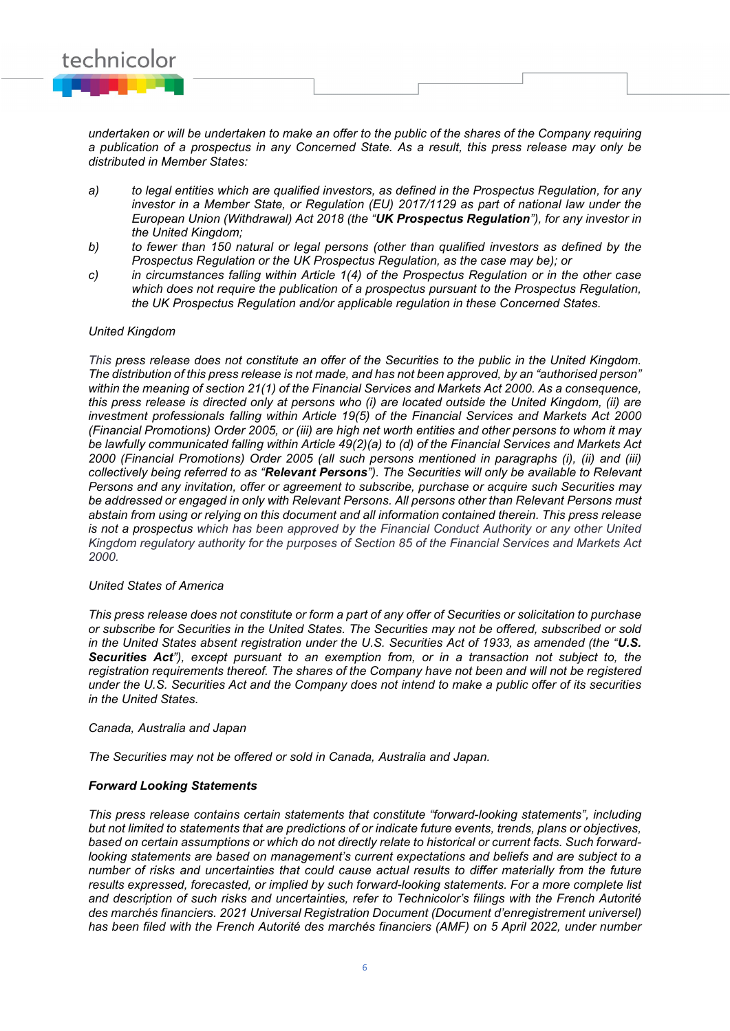

*undertaken or will be undertaken to make an offer to the public of the shares of the Company requiring a publication of a prospectus in any Concerned State. As a result, this press release may only be distributed in Member States:*

- *a) to legal entities which are qualified investors, as defined in the Prospectus Regulation, for any investor in a Member State, or Regulation (EU) 2017/1129 as part of national law under the European Union (Withdrawal) Act 2018 (the "UK Prospectus Regulation"), for any investor in the United Kingdom;*
- *b) to fewer than 150 natural or legal persons (other than qualified investors as defined by the Prospectus Regulation or the UK Prospectus Regulation, as the case may be); or*
- *c) in circumstances falling within Article 1(4) of the Prospectus Regulation or in the other case which does not require the publication of a prospectus pursuant to the Prospectus Regulation, the UK Prospectus Regulation and/or applicable regulation in these Concerned States.*

#### *United Kingdom*

*This press release does not constitute an offer of the Securities to the public in the United Kingdom. The distribution of this press release is not made, and has not been approved, by an "authorised person" within the meaning of section 21(1) of the Financial Services and Markets Act 2000. As a consequence, this press release is directed only at persons who (i) are located outside the United Kingdom, (ii) are investment professionals falling within Article 19(5) of the Financial Services and Markets Act 2000 (Financial Promotions) Order 2005, or (iii) are high net worth entities and other persons to whom it may be lawfully communicated falling within Article 49(2)(a) to (d) of the Financial Services and Markets Act 2000 (Financial Promotions) Order 2005 (all such persons mentioned in paragraphs (i), (ii) and (iii) collectively being referred to as "Relevant Persons"). The Securities will only be available to Relevant Persons and any invitation, offer or agreement to subscribe, purchase or acquire such Securities may be addressed or engaged in only with Relevant Persons. All persons other than Relevant Persons must abstain from using or relying on this document and all information contained therein. This press release is not a prospectus which has been approved by the Financial Conduct Authority or any other United Kingdom regulatory authority for the purposes of Section 85 of the Financial Services and Markets Act 2000.*

### *United States of America*

*This press release does not constitute or form a part of any offer of Securities or solicitation to purchase or subscribe for Securities in the United States. The Securities may not be offered, subscribed or sold in the United States absent registration under the U.S. Securities Act of 1933, as amended (the "U.S. Securities Act"), except pursuant to an exemption from, or in a transaction not subject to, the registration requirements thereof. The shares of the Company have not been and will not be registered under the U.S. Securities Act and the Company does not intend to make a public offer of its securities in the United States.*

#### *Canada, Australia and Japan*

*The Securities may not be offered or sold in Canada, Australia and Japan.*

#### *Forward Looking Statements*

*This press release contains certain statements that constitute "forward-looking statements", including but not limited to statements that are predictions of or indicate future events, trends, plans or objectives, based on certain assumptions or which do not directly relate to historical or current facts. Such forwardlooking statements are based on management's current expectations and beliefs and are subject to a number of risks and uncertainties that could cause actual results to differ materially from the future results expressed, forecasted, or implied by such forward-looking statements. For a more complete list and description of such risks and uncertainties, refer to Technicolor's filings with the French Autorité des marchés financiers. 2021 Universal Registration Document (Document d'enregistrement universel) has been filed with the French Autorité des marchés financiers (AMF) on 5 April 2022, under number*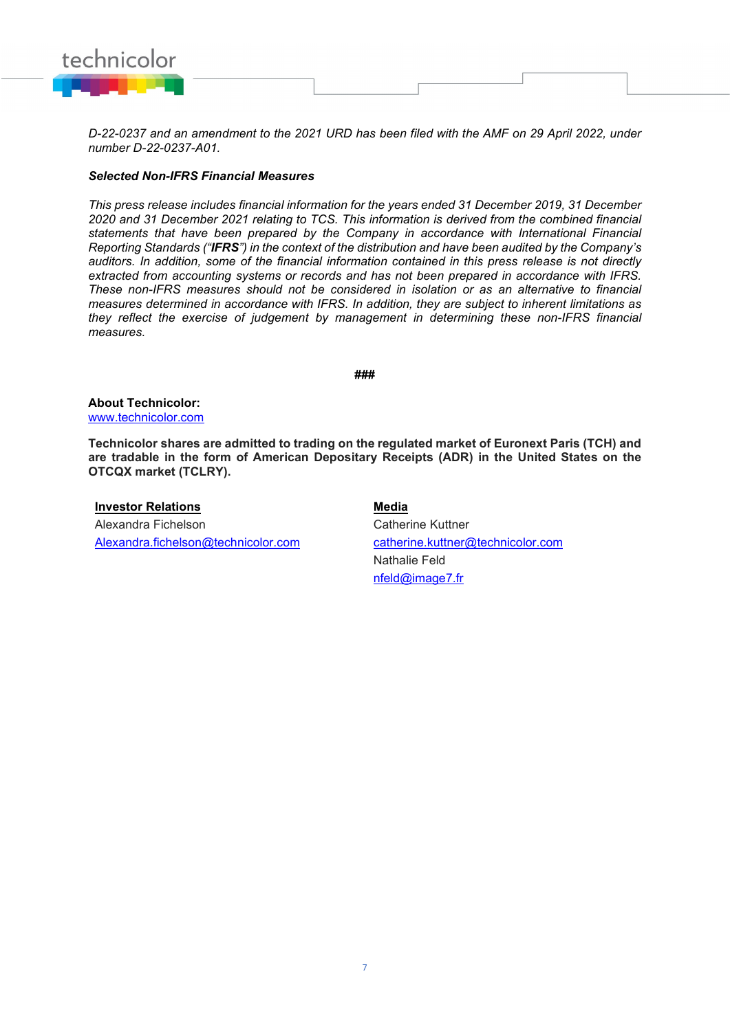

*D-22-0237 and an amendment to the 2021 URD has been filed with the AMF on 29 April 2022, under number D-22-0237-A01.*

#### *Selected Non-IFRS Financial Measures*

*This press release includes financial information for the years ended 31 December 2019, 31 December 2020 and 31 December 2021 relating to TCS. This information is derived from the combined financial statements that have been prepared by the Company in accordance with International Financial Reporting Standards ("IFRS") in the context of the distribution and have been audited by the Company's auditors. In addition, some of the financial information contained in this press release is not directly extracted from accounting systems or records and has not been prepared in accordance with IFRS. These non-IFRS measures should not be considered in isolation or as an alternative to financial measures determined in accordance with IFRS. In addition, they are subject to inherent limitations as they reflect the exercise of judgement by management in determining these non-IFRS financial measures.*

**###**

**About Technicolor:**  [www.technicolor.com](http://www.technicolor.com/)

**Technicolor shares are admitted to trading on the regulated market of Euronext Paris (TCH) and are tradable in the form of American Depositary Receipts (ADR) in the United States on the OTCQX market (TCLRY).**

## **Investor Relations Media**

Alexandra Fichelson Alexandra.fichelson@technicolor.com

Catherine Kuttner catherine.kuttner@technicolor.com Nathalie Feld [nfeld@image7.fr](mailto:nfeld@image7.fr)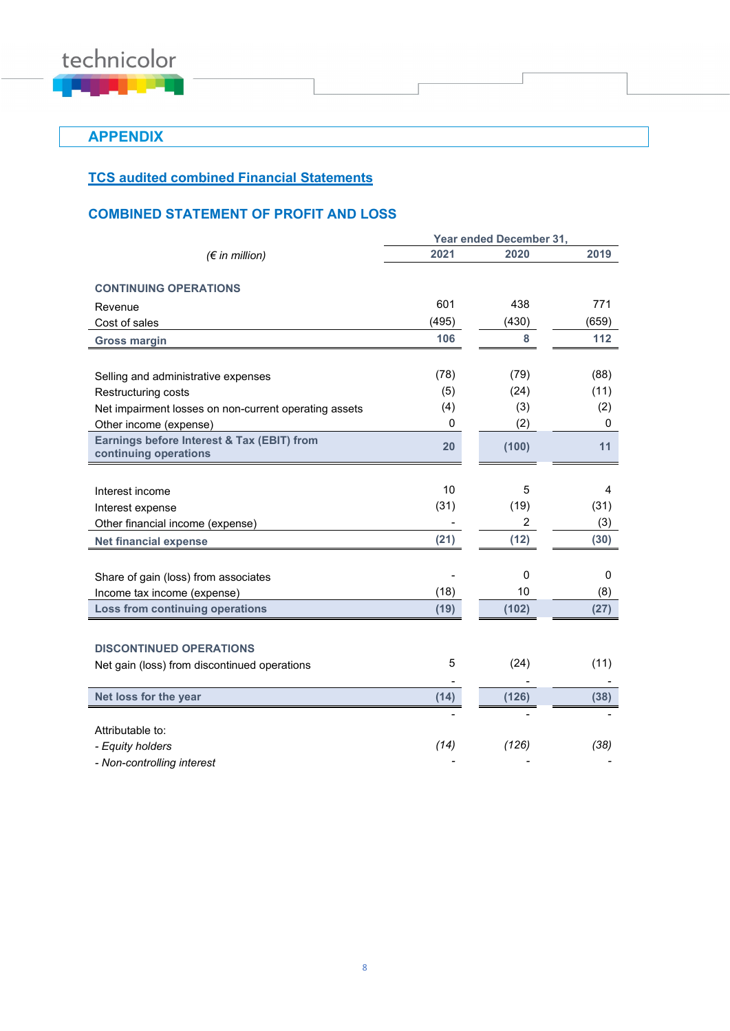

**APPENDIX**

## **TCS audited combined Financial Statements**

## **COMBINED STATEMENT OF PROFIT AND LOSS**

|                                                       | Year ended December 31, |                |       |  |  |
|-------------------------------------------------------|-------------------------|----------------|-------|--|--|
| $(\epsilon$ in million)                               | 2021                    | 2020           | 2019  |  |  |
| <b>CONTINUING OPERATIONS</b>                          |                         |                |       |  |  |
|                                                       | 601                     | 438            | 771   |  |  |
| Revenue                                               |                         |                |       |  |  |
| Cost of sales                                         | (495)                   | (430)          | (659) |  |  |
| <b>Gross margin</b>                                   | 106                     | 8              | 112   |  |  |
|                                                       |                         |                |       |  |  |
| Selling and administrative expenses                   | (78)                    | (79)           | (88)  |  |  |
| Restructuring costs                                   | (5)                     | (24)           | (11)  |  |  |
| Net impairment losses on non-current operating assets | (4)                     | (3)            | (2)   |  |  |
| Other income (expense)                                | 0                       | (2)            | 0     |  |  |
| Earnings before Interest & Tax (EBIT) from            | 20                      | (100)          | 11    |  |  |
| continuing operations                                 |                         |                |       |  |  |
|                                                       |                         |                |       |  |  |
| Interest income                                       | 10                      | 5              | 4     |  |  |
| Interest expense                                      | (31)                    | (19)           | (31)  |  |  |
| Other financial income (expense)                      |                         | $\overline{2}$ | (3)   |  |  |
| <b>Net financial expense</b>                          | (21)                    | (12)           | (30)  |  |  |
|                                                       |                         |                |       |  |  |
| Share of gain (loss) from associates                  |                         | $\Omega$       | 0     |  |  |
| Income tax income (expense)                           | (18)                    | 10             | (8)   |  |  |
| Loss from continuing operations                       | (19)                    | (102)          | (27)  |  |  |
|                                                       |                         |                |       |  |  |
| <b>DISCONTINUED OPERATIONS</b>                        |                         |                |       |  |  |
| Net gain (loss) from discontinued operations          | 5                       | (24)           | (11)  |  |  |
|                                                       |                         |                |       |  |  |
| Net loss for the year                                 | (14)                    | (126)          | (38)  |  |  |
|                                                       |                         |                |       |  |  |
| Attributable to:                                      |                         |                |       |  |  |
| - Equity holders                                      | (14)                    | (126)          | (38)  |  |  |
| - Non-controlling interest                            |                         |                |       |  |  |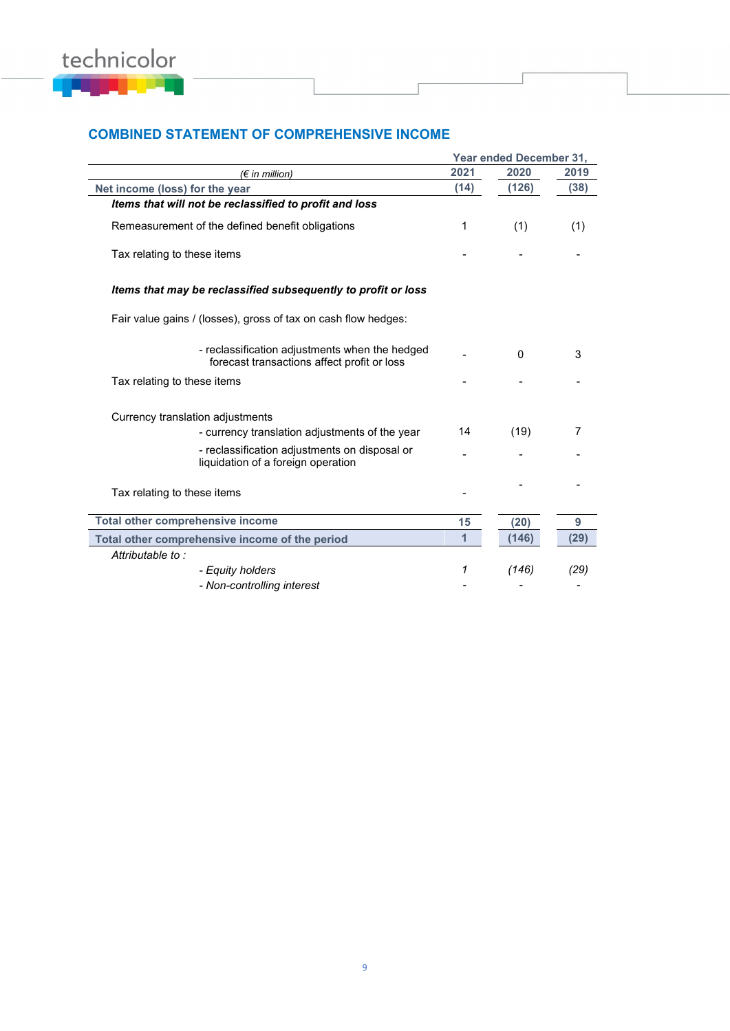

## **COMBINED STATEMENT OF COMPREHENSIVE INCOME**

|                                                                                               | <b>Year ended December 31.</b> |          |      |  |  |
|-----------------------------------------------------------------------------------------------|--------------------------------|----------|------|--|--|
| $(\epsilon$ in million)                                                                       | 2021                           | 2020     | 2019 |  |  |
| Net income (loss) for the year                                                                | (14)                           | (126)    | (38) |  |  |
| Items that will not be reclassified to profit and loss                                        |                                |          |      |  |  |
| Remeasurement of the defined benefit obligations                                              | 1                              | (1)      | (1)  |  |  |
| Tax relating to these items                                                                   |                                |          |      |  |  |
| Items that may be reclassified subsequently to profit or loss                                 |                                |          |      |  |  |
| Fair value gains / (losses), gross of tax on cash flow hedges:                                |                                |          |      |  |  |
| - reclassification adjustments when the hedged<br>forecast transactions affect profit or loss |                                | $\Omega$ | 3    |  |  |
| Tax relating to these items                                                                   |                                |          |      |  |  |
| Currency translation adjustments                                                              |                                |          |      |  |  |
| - currency translation adjustments of the year                                                | 14                             | (19)     | 7    |  |  |
| - reclassification adjustments on disposal or<br>liquidation of a foreign operation           |                                |          |      |  |  |
| Tax relating to these items                                                                   |                                |          |      |  |  |
| Total other comprehensive income                                                              | 15                             | (20)     | 9    |  |  |
| Total other comprehensive income of the period                                                | $\overline{1}$                 | (146)    | (29) |  |  |
| Attributable to:                                                                              |                                |          |      |  |  |
| - Equity holders                                                                              | 1                              | (146)    | (29) |  |  |
| - Non-controlling interest                                                                    |                                |          |      |  |  |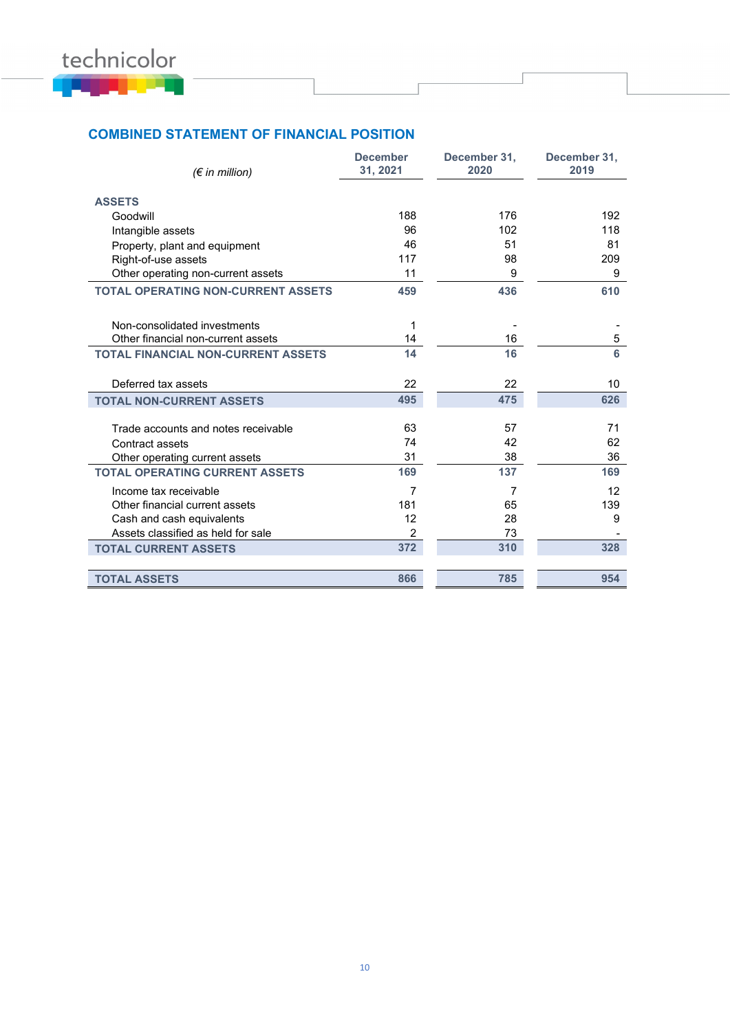

## **COMBINED STATEMENT OF FINANCIAL POSITION**

| $(\epsilon$ in million)                   | <b>December</b><br>31, 2021 | December 31,<br>2020 | December 31,<br>2019 |
|-------------------------------------------|-----------------------------|----------------------|----------------------|
|                                           |                             |                      |                      |
| <b>ASSETS</b>                             | 188                         | 176                  | 192                  |
| Goodwill                                  | 96                          | 102                  | 118                  |
| Intangible assets                         |                             |                      |                      |
| Property, plant and equipment             | 46                          | 51                   | 81                   |
| Right-of-use assets                       | 117                         | 98                   | 209                  |
| Other operating non-current assets        | 11                          | 9                    | 9                    |
| <b>TOTAL OPERATING NON-CURRENT ASSETS</b> | 459                         | 436                  | 610                  |
|                                           |                             |                      |                      |
| Non-consolidated investments              | 1                           |                      |                      |
| Other financial non-current assets        | 14                          | 16                   | 5                    |
| <b>TOTAL FINANCIAL NON-CURRENT ASSETS</b> | 14                          | 16                   | 6                    |
|                                           |                             |                      |                      |
| Deferred tax assets                       | 22                          | 22                   | 10                   |
| <b>TOTAL NON-CURRENT ASSETS</b>           | 495                         | 475                  | 626                  |
|                                           |                             |                      |                      |
| Trade accounts and notes receivable       | 63                          | 57                   | 71                   |
| Contract assets                           | 74                          | 42                   | 62                   |
| Other operating current assets            | 31                          | 38                   | 36                   |
| <b>TOTAL OPERATING CURRENT ASSETS</b>     | 169                         | 137                  | 169                  |
| Income tax receivable                     | 7                           | 7                    | 12                   |
| Other financial current assets            | 181                         | 65                   | 139                  |
| Cash and cash equivalents                 | 12                          | 28                   | 9                    |
| Assets classified as held for sale        | 2                           | 73                   |                      |
| <b>TOTAL CURRENT ASSETS</b>               | 372                         | 310                  | 328                  |
|                                           |                             |                      |                      |
| <b>TOTAL ASSETS</b>                       | 866                         | 785                  | 954                  |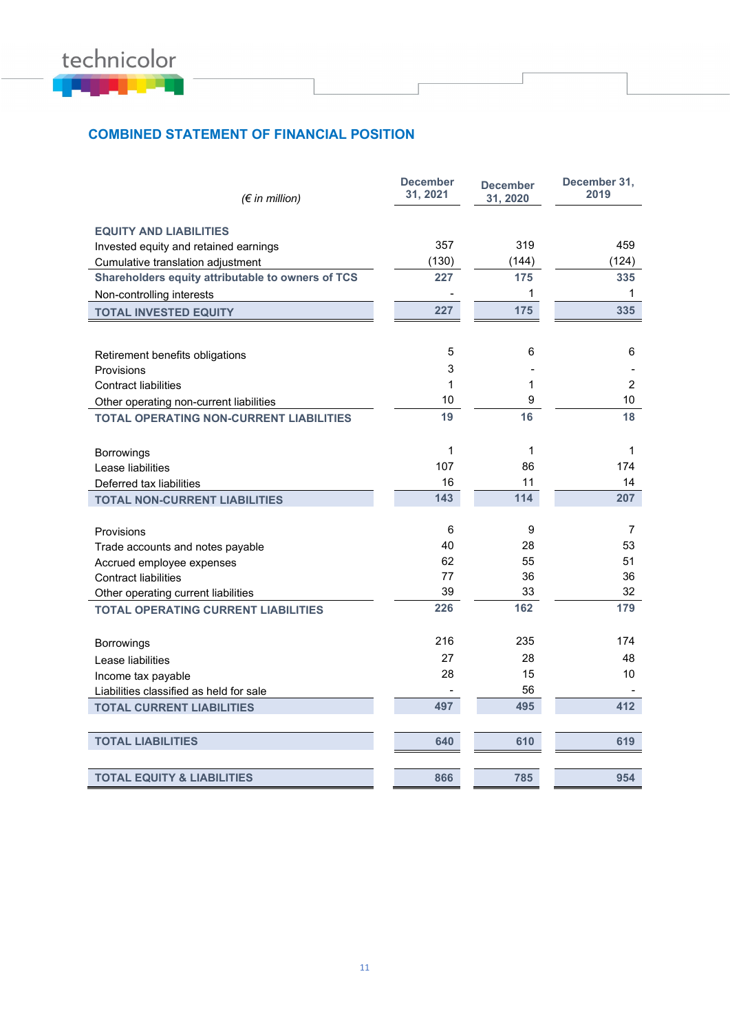

## **COMBINED STATEMENT OF FINANCIAL POSITION**

| $(\epsilon$ in million)                           | <b>December</b><br>31, 2021 | <b>December</b><br>31, 2020 | December 31,<br>2019 |
|---------------------------------------------------|-----------------------------|-----------------------------|----------------------|
| <b>EQUITY AND LIABILITIES</b>                     |                             |                             |                      |
| Invested equity and retained earnings             | 357                         | 319                         | 459                  |
| Cumulative translation adjustment                 | (130)                       | (144)                       | (124)                |
| Shareholders equity attributable to owners of TCS | 227                         | 175                         | 335                  |
| Non-controlling interests                         |                             | 1                           | $\mathbf{1}$         |
| <b>TOTAL INVESTED EQUITY</b>                      | 227                         | 175                         | 335                  |
|                                                   |                             |                             |                      |
| Retirement benefits obligations                   | 5                           | 6                           | 6                    |
| Provisions                                        | 3                           |                             |                      |
| <b>Contract liabilities</b>                       | 1                           | 1                           | $\overline{c}$       |
| Other operating non-current liabilities           | 10                          | 9                           | 10                   |
| <b>TOTAL OPERATING NON-CURRENT LIABILITIES</b>    | 19                          | 16                          | 18                   |
| Borrowings                                        | $\mathbf{1}$                | 1                           | 1                    |
| Lease liabilities                                 | 107                         | 86                          | 174                  |
| Deferred tax liabilities                          | 16                          | 11                          | 14                   |
| <b>TOTAL NON-CURRENT LIABILITIES</b>              | 143                         | 114                         | 207                  |
|                                                   |                             |                             |                      |
| Provisions                                        | 6                           | 9                           | 7                    |
| Trade accounts and notes payable                  | 40                          | 28                          | 53                   |
| Accrued employee expenses                         | 62                          | 55                          | 51                   |
| <b>Contract liabilities</b>                       | 77                          | 36                          | 36                   |
| Other operating current liabilities               | 39                          | 33                          | 32                   |
| <b>TOTAL OPERATING CURRENT LIABILITIES</b>        | 226                         | 162                         | 179                  |
| Borrowings                                        | 216                         | 235                         | 174                  |
| Lease liabilities                                 | 27                          | 28                          | 48                   |
| Income tax payable                                | 28                          | 15                          | 10                   |
| Liabilities classified as held for sale           |                             | 56                          |                      |
| <b>TOTAL CURRENT LIABILITIES</b>                  | 497                         | 495                         | 412                  |
|                                                   |                             |                             |                      |
| <b>TOTAL LIABILITIES</b>                          | 640                         | 610                         | 619                  |
| <b>TOTAL EQUITY &amp; LIABILITIES</b>             | 866                         | 785                         | 954                  |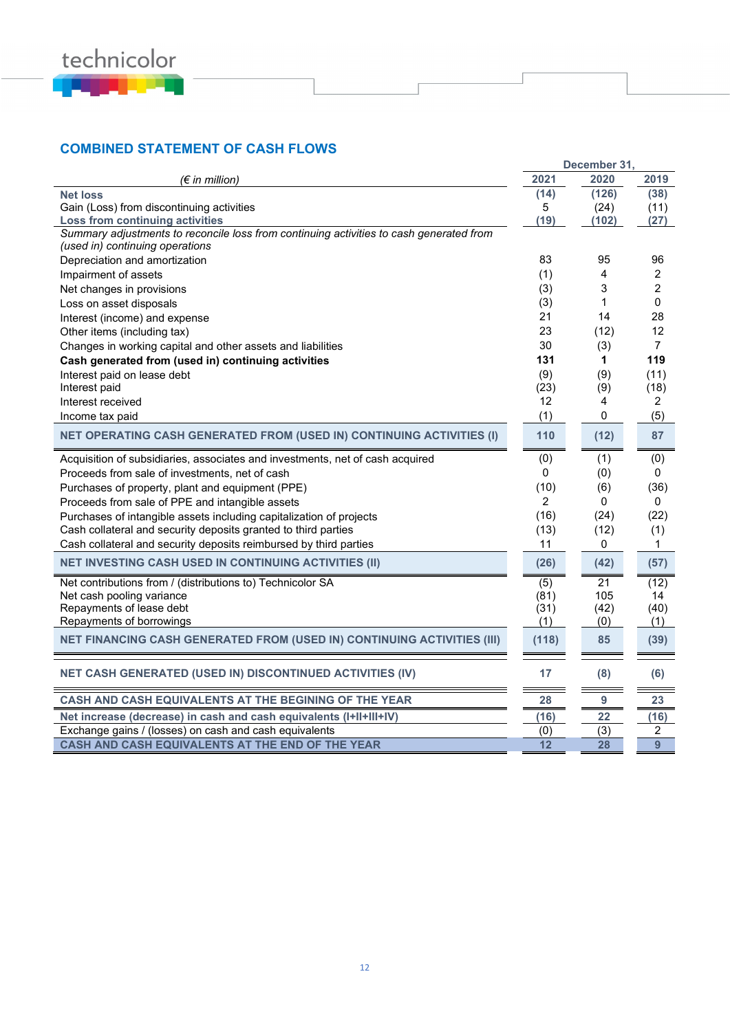

## **COMBINED STATEMENT OF CASH FLOWS**

|                                                                                         |                | December 31, |                                  |
|-----------------------------------------------------------------------------------------|----------------|--------------|----------------------------------|
| (€ in million)                                                                          | 2021           | 2020         | 2019                             |
| <b>Net loss</b>                                                                         | (14)           | (126)        | (38)                             |
| Gain (Loss) from discontinuing activities                                               | 5              | (24)         | (11)                             |
| <b>Loss from continuing activities</b>                                                  | (19)           | (102)        | (27)                             |
| Summary adjustments to reconcile loss from continuing activities to cash generated from |                |              |                                  |
| (used in) continuing operations                                                         |                |              |                                  |
| Depreciation and amortization                                                           | 83             | 95<br>4      | 96                               |
| Impairment of assets                                                                    | (1)            | 3            | $\overline{2}$<br>$\overline{c}$ |
| Net changes in provisions                                                               | (3)            |              |                                  |
| Loss on asset disposals                                                                 | (3)            | 1            | 0                                |
| Interest (income) and expense                                                           | 21             | 14           | 28                               |
| Other items (including tax)                                                             | 23             | (12)         | 12                               |
| Changes in working capital and other assets and liabilities                             | 30             | (3)          | $\overline{7}$                   |
| Cash generated from (used in) continuing activities                                     | 131            | 1            | 119                              |
| Interest paid on lease debt                                                             | (9)            | (9)          | (11)                             |
| Interest paid                                                                           | (23)           | (9)          | (18)                             |
| Interest received                                                                       | 12             | 4            | 2                                |
| Income tax paid                                                                         | (1)            | 0            | (5)                              |
| <b>NET OPERATING CASH GENERATED FROM (USED IN) CONTINUING ACTIVITIES (I)</b>            | 110            | (12)         | 87                               |
| Acquisition of subsidiaries, associates and investments, net of cash acquired           | (0)            | (1)          | (0)                              |
| Proceeds from sale of investments, net of cash                                          | 0              | (0)          | 0                                |
| Purchases of property, plant and equipment (PPE)                                        | (10)           | (6)          | (36)                             |
| Proceeds from sale of PPE and intangible assets                                         | $\overline{2}$ | $\Omega$     | $\mathbf{0}$                     |
| Purchases of intangible assets including capitalization of projects                     | (16)           | (24)         | (22)                             |
| Cash collateral and security deposits granted to third parties                          | (13)           | (12)         | (1)                              |
| Cash collateral and security deposits reimbursed by third parties                       | 11             | 0            | 1                                |
| <b>NET INVESTING CASH USED IN CONTINUING ACTIVITIES (II)</b>                            | (26)           | (42)         | (57)                             |
| Net contributions from / (distributions to) Technicolor SA                              | (5)            | 21           | (12)                             |
| Net cash pooling variance                                                               | (81)           | 105          | 14                               |
| Repayments of lease debt                                                                | (31)           | (42)         | (40)                             |
| Repayments of borrowings                                                                | (1)            | (0)          | (1)                              |
| NET FINANCING CASH GENERATED FROM (USED IN) CONTINUING ACTIVITIES (III)                 | (118)          | 85           | (39)                             |
| NET CASH GENERATED (USED IN) DISCONTINUED ACTIVITIES (IV)                               | 17             | (8)          | (6)                              |
| CASH AND CASH EQUIVALENTS AT THE BEGINING OF THE YEAR                                   | 28             | 9            | 23                               |
| Net increase (decrease) in cash and cash equivalents (I+II+III+IV)                      | (16)           | 22           | (16)                             |
| Exchange gains / (losses) on cash and cash equivalents                                  | (0)            | (3)          | 2                                |
| CASH AND CASH EQUIVALENTS AT THE END OF THE YEAR                                        | 12             | 28           | 9                                |
|                                                                                         |                |              |                                  |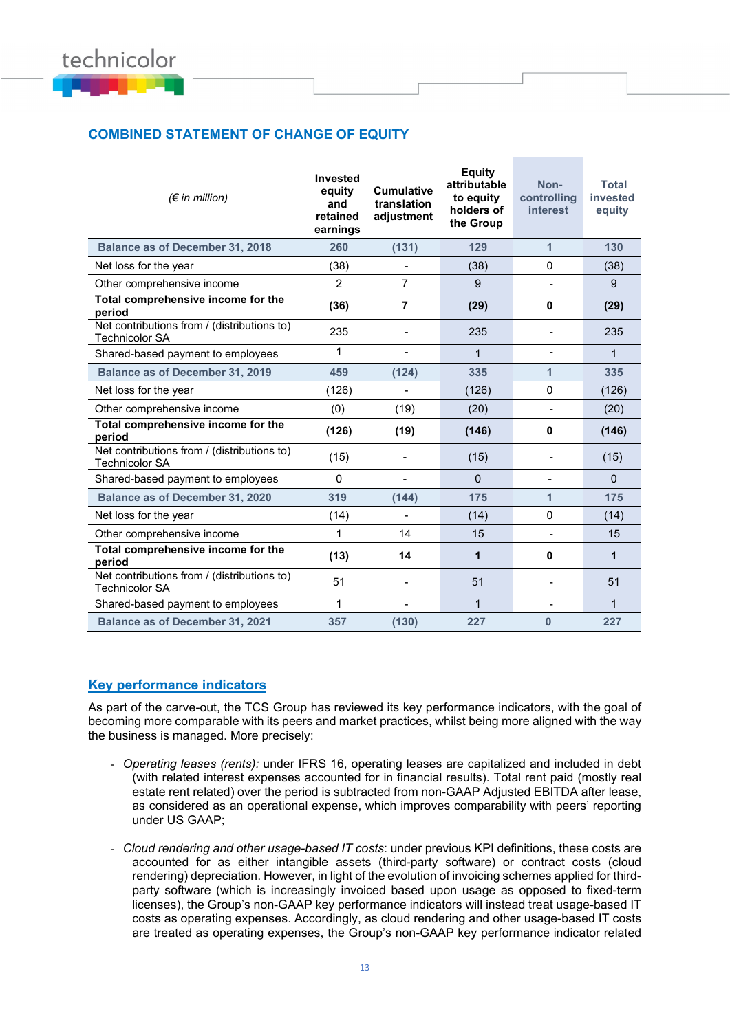

## **COMBINED STATEMENT OF CHANGE OF EQUITY**

| $(\epsilon$ in million)                                              | Invested<br>equity<br>and<br>retained<br>earnings | <b>Cumulative</b><br>translation<br>adjustment | <b>Equity</b><br>attributable<br>to equity<br>holders of<br>the Group | Non-<br>controlling<br><i>interest</i> | <b>Total</b><br>invested<br>equity |
|----------------------------------------------------------------------|---------------------------------------------------|------------------------------------------------|-----------------------------------------------------------------------|----------------------------------------|------------------------------------|
| <b>Balance as of December 31, 2018</b>                               | 260                                               | (131)                                          | 129                                                                   | $\mathbf{1}$                           | 130                                |
| Net loss for the year                                                | (38)                                              | $\blacksquare$                                 | (38)                                                                  | 0                                      | (38)                               |
| Other comprehensive income                                           | 2                                                 | $\overline{7}$                                 | 9                                                                     | $\overline{\phantom{0}}$               | 9                                  |
| Total comprehensive income for the<br>period                         | (36)                                              | 7                                              | (29)                                                                  | 0                                      | (29)                               |
| Net contributions from / (distributions to)<br><b>Technicolor SA</b> | 235                                               | $\blacksquare$                                 | 235                                                                   | $\blacksquare$                         | 235                                |
| Shared-based payment to employees                                    | 1                                                 | $\overline{\phantom{a}}$                       | $\mathbf{1}$                                                          | $\overline{\phantom{a}}$               | $\mathbf{1}$                       |
| <b>Balance as of December 31, 2019</b>                               | 459                                               | (124)                                          | 335                                                                   | 1                                      | 335                                |
| Net loss for the year                                                | (126)                                             | $\overline{\phantom{0}}$                       | (126)                                                                 | 0                                      | (126)                              |
| Other comprehensive income                                           | (0)                                               | (19)                                           | (20)                                                                  | $\overline{\phantom{a}}$               | (20)                               |
| Total comprehensive income for the<br>period                         | (126)                                             | (19)                                           | (146)                                                                 | 0                                      | (146)                              |
| Net contributions from / (distributions to)<br><b>Technicolor SA</b> | (15)                                              |                                                | (15)                                                                  |                                        | (15)                               |
| Shared-based payment to employees                                    | $\Omega$                                          | $\blacksquare$                                 | $\Omega$                                                              | $\overline{\phantom{0}}$               | $\Omega$                           |
| <b>Balance as of December 31, 2020</b>                               | 319                                               | (144)                                          | 175                                                                   | 1                                      | 175                                |
| Net loss for the year                                                | (14)                                              | $\blacksquare$                                 | (14)                                                                  | 0                                      | (14)                               |
| Other comprehensive income                                           | 1                                                 | 14                                             | 15                                                                    | $\blacksquare$                         | 15                                 |
| Total comprehensive income for the<br>period                         | (13)                                              | 14                                             | 1                                                                     | 0                                      | 1                                  |
| Net contributions from / (distributions to)<br><b>Technicolor SA</b> | 51                                                |                                                | 51                                                                    |                                        | 51                                 |
| Shared-based payment to employees                                    | $\mathbf{1}$                                      | $\overline{\phantom{a}}$                       | $\mathbf{1}$                                                          | $\blacksquare$                         | $\mathbf{1}$                       |
| <b>Balance as of December 31, 2021</b>                               | 357                                               | (130)                                          | 227                                                                   | $\bf{0}$                               | 227                                |

## **Key performance indicators**

As part of the carve-out, the TCS Group has reviewed its key performance indicators, with the goal of becoming more comparable with its peers and market practices, whilst being more aligned with the way the business is managed. More precisely:

- *Operating leases (rents):* under IFRS 16, operating leases are capitalized and included in debt (with related interest expenses accounted for in financial results). Total rent paid (mostly real estate rent related) over the period is subtracted from non-GAAP Adjusted EBITDA after lease, as considered as an operational expense, which improves comparability with peers' reporting under US GAAP;
- *Cloud rendering and other usage-based IT costs*: under previous KPI definitions, these costs are accounted for as either intangible assets (third-party software) or contract costs (cloud rendering) depreciation. However, in light of the evolution of invoicing schemes applied for thirdparty software (which is increasingly invoiced based upon usage as opposed to fixed-term licenses), the Group's non-GAAP key performance indicators will instead treat usage-based IT costs as operating expenses. Accordingly, as cloud rendering and other usage-based IT costs are treated as operating expenses, the Group's non-GAAP key performance indicator related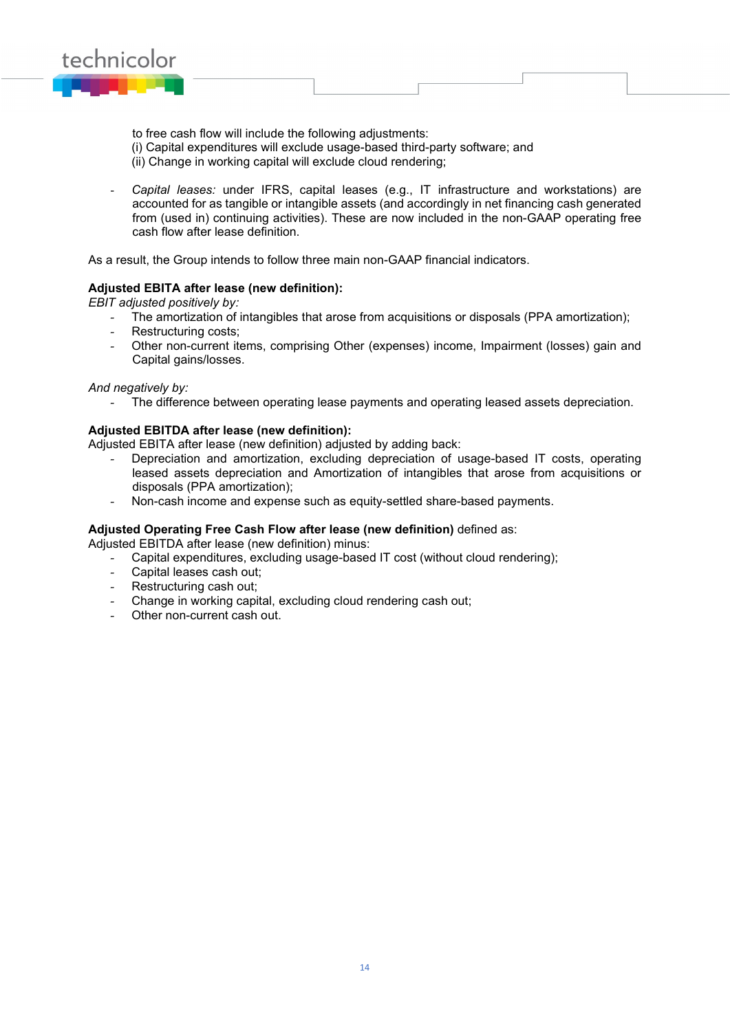

to free cash flow will include the following adjustments:

- (i) Capital expenditures will exclude usage-based third-party software; and
- (ii) Change in working capital will exclude cloud rendering;
- *Capital leases:* under IFRS, capital leases (e.g., IT infrastructure and workstations) are accounted for as tangible or intangible assets (and accordingly in net financing cash generated from (used in) continuing activities). These are now included in the non-GAAP operating free cash flow after lease definition.

As a result, the Group intends to follow three main non-GAAP financial indicators.

## **Adjusted EBITA after lease (new definition):**

*EBIT adjusted positively by:*

- The amortization of intangibles that arose from acquisitions or disposals (PPA amortization);
- Restructuring costs:
- Other non-current items, comprising Other (expenses) income, Impairment (losses) gain and Capital gains/losses.

#### *And negatively by:*

The difference between operating lease payments and operating leased assets depreciation.

## **Adjusted EBITDA after lease (new definition):**

Adjusted EBITA after lease (new definition) adjusted by adding back:

- Depreciation and amortization, excluding depreciation of usage-based IT costs, operating leased assets depreciation and Amortization of intangibles that arose from acquisitions or disposals (PPA amortization);
- Non-cash income and expense such as equity-settled share-based payments.

## **Adjusted Operating Free Cash Flow after lease (new definition)** defined as:

Adjusted EBITDA after lease (new definition) minus:

- Capital expenditures, excluding usage-based IT cost (without cloud rendering);
- Capital leases cash out;
- Restructuring cash out;
- Change in working capital, excluding cloud rendering cash out;
- Other non-current cash out.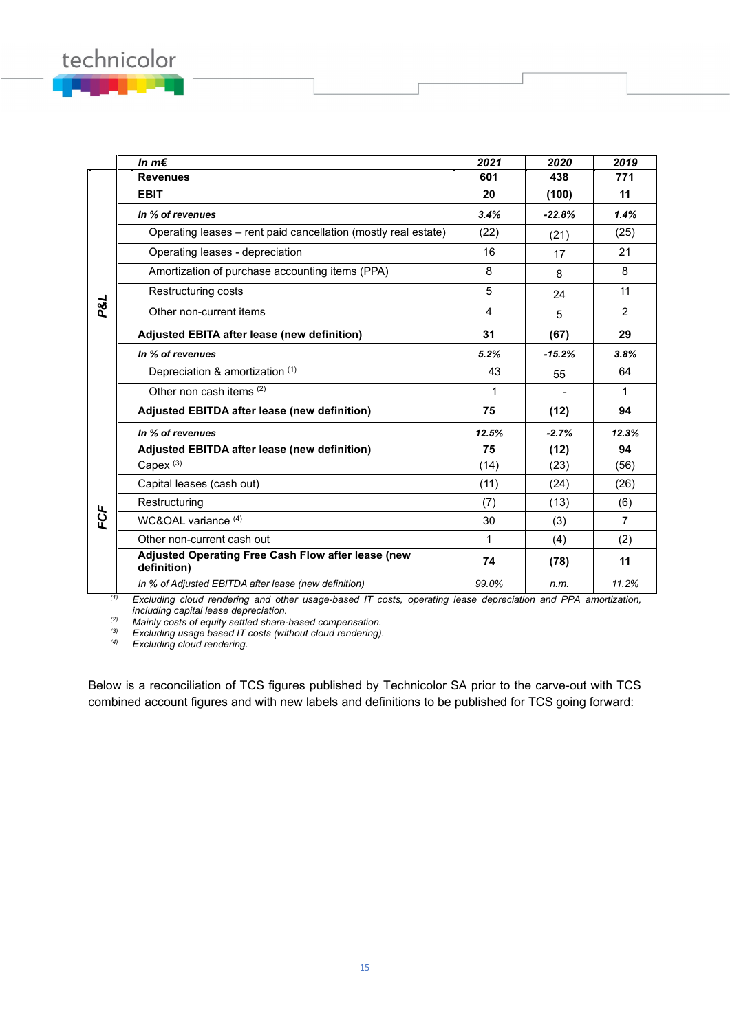|     | In $m \in$                                                        | 2021  | 2020     | 2019           |
|-----|-------------------------------------------------------------------|-------|----------|----------------|
|     | <b>Revenues</b>                                                   | 601   | 438      | 771            |
|     | <b>EBIT</b>                                                       | 20    | (100)    | 11             |
|     | In % of revenues                                                  | 3.4%  | $-22.8%$ | 1.4%           |
|     | Operating leases – rent paid cancellation (mostly real estate)    | (22)  | (21)     | (25)           |
|     | Operating leases - depreciation                                   | 16    | 17       | 21             |
|     | Amortization of purchase accounting items (PPA)                   | 8     | 8        | 8              |
|     | Restructuring costs                                               | 5     | 24       | 11             |
| P&L | Other non-current items                                           | 4     | 5        | 2              |
|     | Adjusted EBITA after lease (new definition)                       | 31    | (67)     | 29             |
|     | In % of revenues                                                  | 5.2%  | $-15.2%$ | 3.8%           |
|     | Depreciation & amortization (1)                                   | 43    | 55       | 64             |
|     | Other non cash items (2)                                          | 1     |          | 1              |
|     | Adjusted EBITDA after lease (new definition)                      | 75    | (12)     | 94             |
|     | In % of revenues                                                  | 12.5% | $-2.7%$  | 12.3%          |
|     | Adjusted EBITDA after lease (new definition)                      | 75    | (12)     | 94             |
|     | Capex $(3)$                                                       | (14)  | (23)     | (56)           |
|     | Capital leases (cash out)                                         | (11)  | (24)     | (26)           |
|     | Restructuring                                                     | (7)   | (13)     | (6)            |
| FCF | WC&OAL variance (4)                                               | 30    | (3)      | $\overline{7}$ |
|     | Other non-current cash out                                        | 1     | (4)      | (2)            |
|     | Adjusted Operating Free Cash Flow after lease (new<br>definition) | 74    | (78)     | 11             |
|     | In % of Adjusted EBITDA after lease (new definition)              | 99.0% | n.m.     | 11.2%          |

*(1) Excluding cloud rendering and other usage-based IT costs, operating lease depreciation and PPA amortization, including capital lease depreciation.*

*(2) Mainly costs of equity settled share-based compensation.*

*(3) Excluding usage based IT costs (without cloud rendering).*

 $Excluding$  *cloud rendering.* 

technicolor

Below is a reconciliation of TCS figures published by Technicolor SA prior to the carve-out with TCS combined account figures and with new labels and definitions to be published for TCS going forward: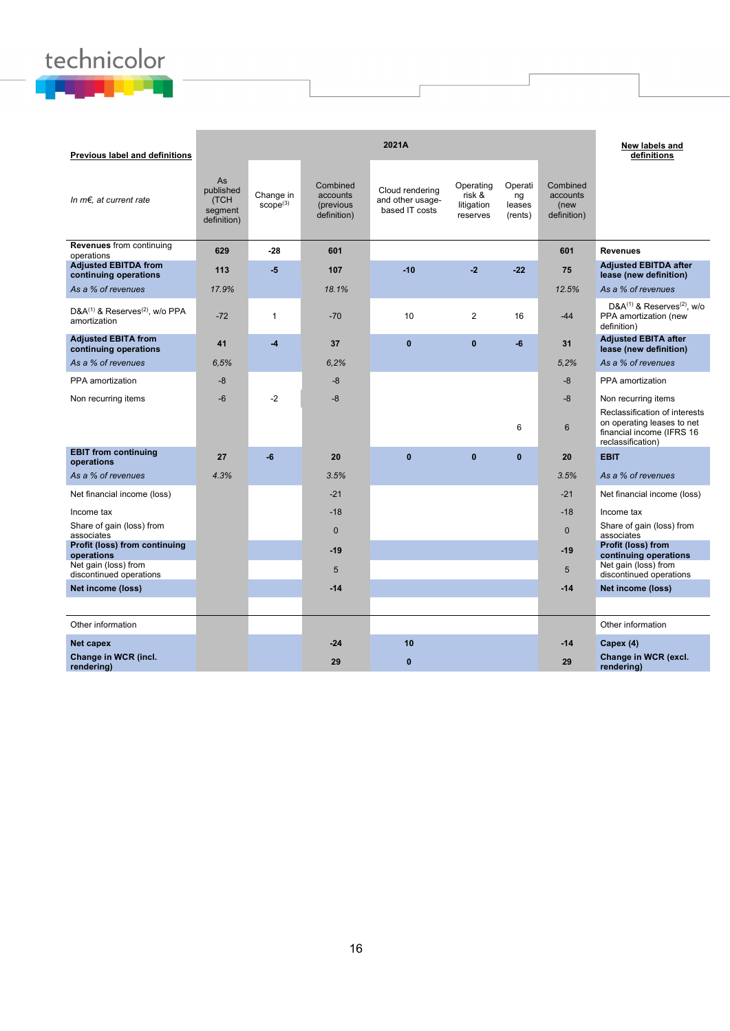## technicolor

| Previous label and definitions                       |                                                   |                                   |                                                  | 2021A                                                 |                                               |                                    |                                             | New labels and<br>definitions                                                                                 |
|------------------------------------------------------|---------------------------------------------------|-----------------------------------|--------------------------------------------------|-------------------------------------------------------|-----------------------------------------------|------------------------------------|---------------------------------------------|---------------------------------------------------------------------------------------------------------------|
| In $m \in$ , at current rate                         | As<br>published<br>(TCH<br>segment<br>definition) | Change in<br>score <sup>(3)</sup> | Combined<br>accounts<br>(previous<br>definition) | Cloud rendering<br>and other usage-<br>based IT costs | Operating<br>risk &<br>litigation<br>reserves | Operati<br>ng<br>leases<br>(rents) | Combined<br>accounts<br>(new<br>definition) |                                                                                                               |
| <b>Revenues</b> from continuing<br>operations        | 629                                               | $-28$                             | 601                                              |                                                       |                                               |                                    | 601                                         | <b>Revenues</b>                                                                                               |
| <b>Adjusted EBITDA from</b><br>continuing operations | 113                                               | $-5$                              | 107                                              | $-10$                                                 | $-2$                                          | $-22$                              | 75                                          | <b>Adjusted EBITDA after</b><br>lease (new definition)                                                        |
| As a % of revenues                                   | 17.9%                                             |                                   | 18.1%                                            |                                                       |                                               |                                    | 12.5%                                       | As a % of revenues                                                                                            |
| $D&A^{(1)}&Reserves^{(2)}$ , w/o PPA<br>amortization | $-72$                                             | $\mathbf{1}$                      | $-70$                                            | 10                                                    | $\overline{2}$                                | 16                                 | $-44$                                       | $D&A^{(1)}\&R$ eserves <sup>(2)</sup> , w/o<br>PPA amortization (new<br>definition)                           |
| <b>Adjusted EBITA from</b><br>continuing operations  | 41                                                | $-4$                              | 37                                               | $\mathbf{0}$                                          | $\mathbf{0}$                                  | $-6$                               | 31                                          | <b>Adjusted EBITA after</b><br>lease (new definition)                                                         |
| As a % of revenues                                   | 6.5%                                              |                                   | 6,2%                                             |                                                       |                                               |                                    | 5,2%                                        | As a % of revenues                                                                                            |
| PPA amortization                                     | $-8$                                              |                                   | $-8$                                             |                                                       |                                               |                                    | $-8$                                        | PPA amortization                                                                                              |
| Non recurring items                                  | $-6$                                              | $-2$                              | -8                                               |                                                       |                                               |                                    | -8                                          | Non recurring items                                                                                           |
|                                                      |                                                   |                                   |                                                  |                                                       |                                               | 6                                  | 6                                           | Reclassification of interests<br>on operating leases to net<br>financial income (IFRS 16<br>reclassification) |
| <b>EBIT from continuing</b><br>operations            | 27                                                | $-6$                              | 20                                               | $\mathbf{0}$                                          | $\bf{0}$                                      | $\mathbf{0}$                       | 20                                          | <b>EBIT</b>                                                                                                   |
| As a % of revenues                                   | 4.3%                                              |                                   | 3.5%                                             |                                                       |                                               |                                    | 3.5%                                        | As a % of revenues                                                                                            |
| Net financial income (loss)                          |                                                   |                                   | $-21$                                            |                                                       |                                               |                                    | $-21$                                       | Net financial income (loss)                                                                                   |
| Income tax                                           |                                                   |                                   | $-18$                                            |                                                       |                                               |                                    | $-18$                                       | Income tax                                                                                                    |
| Share of gain (loss) from<br>associates              |                                                   |                                   | $\Omega$                                         |                                                       |                                               |                                    | $\Omega$                                    | Share of gain (loss) from<br>associates                                                                       |
| Profit (loss) from continuing<br>operations          |                                                   |                                   | $-19$                                            |                                                       |                                               |                                    | $-19$                                       | Profit (loss) from<br>continuing operations                                                                   |
| Net gain (loss) from<br>discontinued operations      |                                                   |                                   | 5                                                |                                                       |                                               |                                    | 5                                           | Net gain (loss) from<br>discontinued operations                                                               |
| Net income (loss)                                    |                                                   |                                   | $-14$                                            |                                                       |                                               |                                    | $-14$                                       | Net income (loss)                                                                                             |
|                                                      |                                                   |                                   |                                                  |                                                       |                                               |                                    |                                             |                                                                                                               |
| Other information                                    |                                                   |                                   |                                                  |                                                       |                                               |                                    |                                             | Other information                                                                                             |
| Net capex                                            |                                                   |                                   | $-24$                                            | 10                                                    |                                               |                                    | $-14$                                       | Capex (4)                                                                                                     |
| Change in WCR (incl.<br>rendering)                   |                                                   |                                   | 29                                               | $\mathbf{0}$                                          |                                               |                                    | 29                                          | Change in WCR (excl.<br>rendering)                                                                            |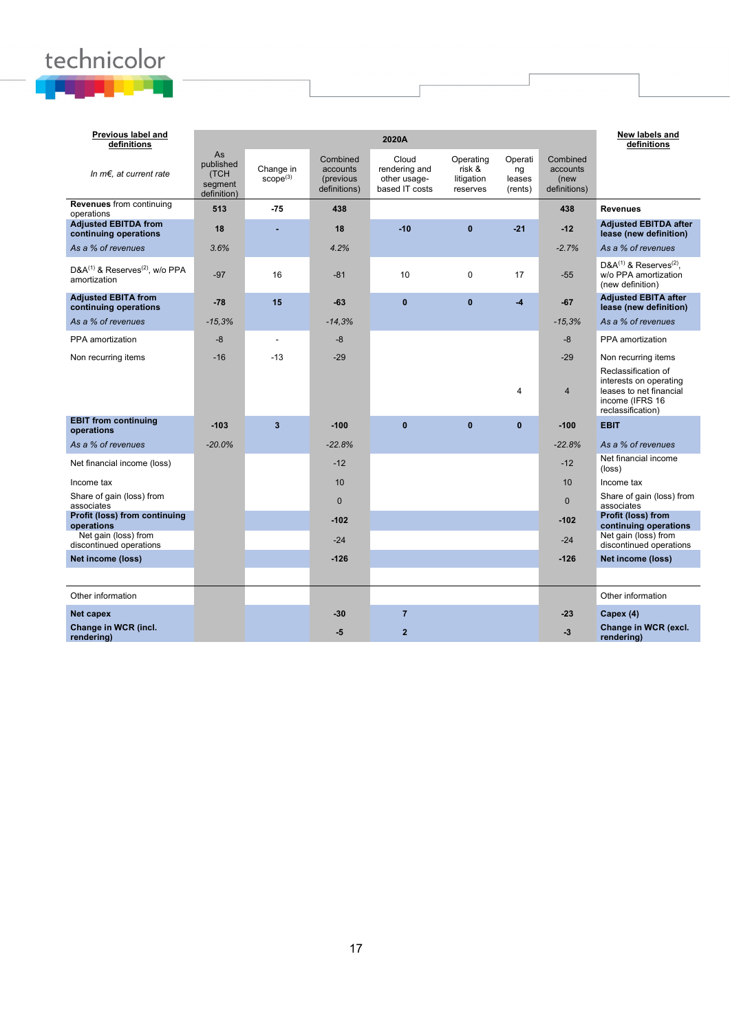# technicolor

| Previous label and<br>definitions                                      |                                                   |                                   |                                                   | 2020A                                                    |                                               |                                    |                                              | New labels and<br>definitions                                                                                    |
|------------------------------------------------------------------------|---------------------------------------------------|-----------------------------------|---------------------------------------------------|----------------------------------------------------------|-----------------------------------------------|------------------------------------|----------------------------------------------|------------------------------------------------------------------------------------------------------------------|
| In $m \in$ , at current rate                                           | As<br>published<br>(TCH<br>segment<br>definition) | Change in<br>score <sup>(3)</sup> | Combined<br>accounts<br>(previous<br>definitions) | Cloud<br>rendering and<br>other usage-<br>based IT costs | Operating<br>risk &<br>litigation<br>reserves | Operati<br>ng<br>leases<br>(rents) | Combined<br>accounts<br>(new<br>definitions) |                                                                                                                  |
| <b>Revenues</b> from continuing<br>operations                          | 513                                               | $-75$                             | 438                                               |                                                          |                                               |                                    | 438                                          | <b>Revenues</b>                                                                                                  |
| <b>Adiusted EBITDA from</b><br>continuing operations                   | 18                                                |                                   | 18                                                | $-10$                                                    | $\mathbf{0}$                                  | $-21$                              | $-12$                                        | <b>Adiusted EBITDA after</b><br>lease (new definition)                                                           |
| As a % of revenues                                                     | 3.6%                                              |                                   | 4.2%                                              |                                                          |                                               |                                    | $-2.7%$                                      | As a % of revenues                                                                                               |
| D&A <sup>(1)</sup> & Reserves <sup>(2)</sup> , w/o PPA<br>amortization | $-97$                                             | 16                                | $-81$                                             | 10                                                       | $\Omega$                                      | 17                                 | $-55$                                        | $D&A^{(1)}&Reserves^{(2)}$ .<br>w/o PPA amortization<br>(new definition)                                         |
| <b>Adjusted EBITA from</b><br>continuing operations                    | $-78$                                             | 15                                | $-63$                                             | $\mathbf{0}$                                             | $\mathbf{0}$                                  | $-4$                               | $-67$                                        | <b>Adjusted EBITA after</b><br>lease (new definition)                                                            |
| As a % of revenues                                                     | $-15,3%$                                          |                                   | $-14.3%$                                          |                                                          |                                               |                                    | $-15.3%$                                     | As a % of revenues                                                                                               |
| PPA amortization                                                       | -8                                                | $\blacksquare$                    | $-8$                                              |                                                          |                                               |                                    | -8                                           | PPA amortization                                                                                                 |
| Non recurring items                                                    | $-16$                                             | $-13$                             | $-29$                                             |                                                          |                                               |                                    | $-29$                                        | Non recurring items                                                                                              |
|                                                                        |                                                   |                                   |                                                   |                                                          |                                               | $\overline{\mathbf{A}}$            | $\overline{4}$                               | Reclassification of<br>interests on operating<br>leases to net financial<br>income (IFRS 16<br>reclassification) |
| <b>EBIT</b> from continuing<br>operations                              | $-103$                                            | $\overline{3}$                    | $-100$                                            | $\mathbf{0}$                                             | $\mathbf{0}$                                  | $\mathbf{0}$                       | $-100$                                       | <b>EBIT</b>                                                                                                      |
| As a % of revenues                                                     | $-20.0%$                                          |                                   | $-22.8%$                                          |                                                          |                                               |                                    | $-22.8%$                                     | As a % of revenues                                                                                               |
| Net financial income (loss)                                            |                                                   |                                   | $-12$                                             |                                                          |                                               |                                    | $-12$                                        | Net financial income<br>$(\text{loss})$                                                                          |
| Income tax                                                             |                                                   |                                   | 10                                                |                                                          |                                               |                                    | 10 <sup>1</sup>                              | Income tax                                                                                                       |
| Share of gain (loss) from<br>associates                                |                                                   |                                   | $\mathbf{0}$                                      |                                                          |                                               |                                    | $\mathbf{0}$                                 | Share of gain (loss) from<br>associates                                                                          |
| Profit (loss) from continuing<br>operations                            |                                                   |                                   | $-102$                                            |                                                          |                                               |                                    | $-102$                                       | Profit (loss) from<br>continuing operations                                                                      |
| Net gain (loss) from<br>discontinued operations                        |                                                   |                                   | $-24$                                             |                                                          |                                               |                                    | $-24$                                        | Net gain (loss) from<br>discontinued operations                                                                  |
| Net income (loss)                                                      |                                                   |                                   | $-126$                                            |                                                          |                                               |                                    | $-126$                                       | Net income (loss)                                                                                                |
|                                                                        |                                                   |                                   |                                                   |                                                          |                                               |                                    |                                              |                                                                                                                  |
| Other information                                                      |                                                   |                                   |                                                   |                                                          |                                               |                                    |                                              | Other information                                                                                                |
| Net capex                                                              |                                                   |                                   | $-30$                                             | $\overline{7}$                                           |                                               |                                    | $-23$                                        | Capex (4)                                                                                                        |
| Change in WCR (incl.<br>rendering)                                     |                                                   |                                   | -5                                                | $\overline{2}$                                           |                                               |                                    | $-3$                                         | Change in WCR (excl.<br>rendering)                                                                               |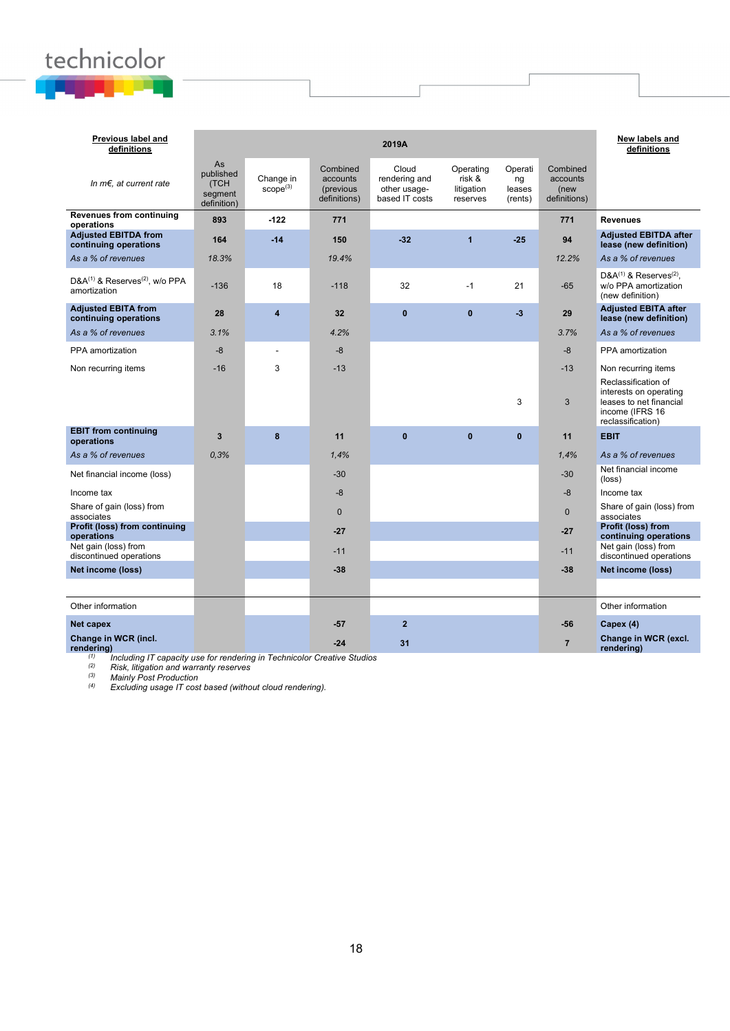# technicolor

| Previous label and<br>definitions                                      |                                                   |                                   |                                                   | 2019A                                                    |                                               |                                    |                                              | New labels and<br>definitions                                                                                    |
|------------------------------------------------------------------------|---------------------------------------------------|-----------------------------------|---------------------------------------------------|----------------------------------------------------------|-----------------------------------------------|------------------------------------|----------------------------------------------|------------------------------------------------------------------------------------------------------------------|
| In $m \in$ , at current rate                                           | As<br>published<br>(TCH<br>segment<br>definition) | Change in<br>score <sup>(3)</sup> | Combined<br>accounts<br>(previous<br>definitions) | Cloud<br>rendering and<br>other usage-<br>based IT costs | Operating<br>risk &<br>litigation<br>reserves | Operati<br>ng<br>leases<br>(rents) | Combined<br>accounts<br>(new<br>definitions) |                                                                                                                  |
| <b>Revenues from continuing</b><br>operations                          | 893                                               | $-122$                            | 771                                               |                                                          |                                               |                                    | 771                                          | <b>Revenues</b>                                                                                                  |
| <b>Adjusted EBITDA from</b><br>continuing operations                   | 164                                               | $-14$                             | 150                                               | $-32$                                                    | $\overline{1}$                                | $-25$                              | 94                                           | <b>Adjusted EBITDA after</b><br>lease (new definition)                                                           |
| As a % of revenues                                                     | 18.3%                                             |                                   | 19.4%                                             |                                                          |                                               |                                    | 12.2%                                        | As a % of revenues                                                                                               |
| D&A <sup>(1)</sup> & Reserves <sup>(2)</sup> , w/o PPA<br>amortization | $-136$                                            | 18                                | $-118$                                            | 32                                                       | $-1$                                          | 21                                 | $-65$                                        | $D&A^{(1)}&Reserves^{(2)}$ .<br>w/o PPA amortization<br>(new definition)                                         |
| <b>Adiusted EBITA from</b><br>continuing operations                    | 28                                                | 4                                 | 32                                                | $\bf{0}$                                                 | $\bf{0}$                                      | $-3$                               | 29                                           | <b>Adjusted EBITA after</b><br>lease (new definition)                                                            |
| As a % of revenues                                                     | 3.1%                                              |                                   | 4.2%                                              |                                                          |                                               |                                    | 3.7%                                         | As a % of revenues                                                                                               |
| PPA amortization                                                       | $-8$                                              | $\overline{a}$                    | $-8$                                              |                                                          |                                               |                                    | $-8$                                         | PPA amortization                                                                                                 |
| Non recurring items                                                    | $-16$                                             | 3                                 | $-13$                                             |                                                          |                                               |                                    | $-13$                                        | Non recurring items                                                                                              |
|                                                                        |                                                   |                                   |                                                   |                                                          |                                               | 3                                  | 3                                            | Reclassification of<br>interests on operating<br>leases to net financial<br>income (IFRS 16<br>reclassification) |
| <b>EBIT from continuing</b><br>operations                              | 3                                                 | 8                                 | 11                                                | $\mathbf{0}$                                             | $\mathbf{0}$                                  | $\mathbf{0}$                       | 11                                           | <b>EBIT</b>                                                                                                      |
| As a % of revenues                                                     | 0,3%                                              |                                   | 1,4%                                              |                                                          |                                               |                                    | 1,4%                                         | As a % of revenues                                                                                               |
| Net financial income (loss)                                            |                                                   |                                   | $-30$                                             |                                                          |                                               |                                    | $-30$                                        | Net financial income<br>(loss)                                                                                   |
| Income tax                                                             |                                                   |                                   | $-8$                                              |                                                          |                                               |                                    | $-8$                                         | Income tax                                                                                                       |
| Share of gain (loss) from<br>associates                                |                                                   |                                   | $\mathbf 0$                                       |                                                          |                                               |                                    | $\mathbf{0}$                                 | Share of gain (loss) from<br>associates                                                                          |
| Profit (loss) from continuing<br>operations                            |                                                   |                                   | $-27$                                             |                                                          |                                               |                                    | $-27$                                        | Profit (loss) from<br>continuing operations                                                                      |
| Net gain (loss) from<br>discontinued operations                        |                                                   |                                   | $-11$                                             |                                                          |                                               |                                    | $-11$                                        | Net gain (loss) from<br>discontinued operations                                                                  |
| Net income (loss)                                                      |                                                   |                                   | $-38$                                             |                                                          |                                               |                                    | $-38$                                        | Net income (loss)                                                                                                |
|                                                                        |                                                   |                                   |                                                   |                                                          |                                               |                                    |                                              |                                                                                                                  |
| Other information                                                      |                                                   |                                   |                                                   |                                                          |                                               |                                    |                                              | Other information                                                                                                |
| Net capex                                                              |                                                   |                                   | $-57$                                             | $\overline{2}$                                           |                                               |                                    | $-56$                                        | Capex (4)                                                                                                        |
| Change in WCR (incl.<br>rendering)                                     |                                                   |                                   | $-24$                                             | 31                                                       |                                               |                                    | $\overline{7}$                               | Change in WCR (excl.<br>rendering)                                                                               |

*(1) Including IT capacity use for rendering in Technicolor Creative Studios (2) Risk, litigation and warranty reserves*

*(3) Mainly Post Production*

*(4) Excluding usage IT cost based (without cloud rendering).*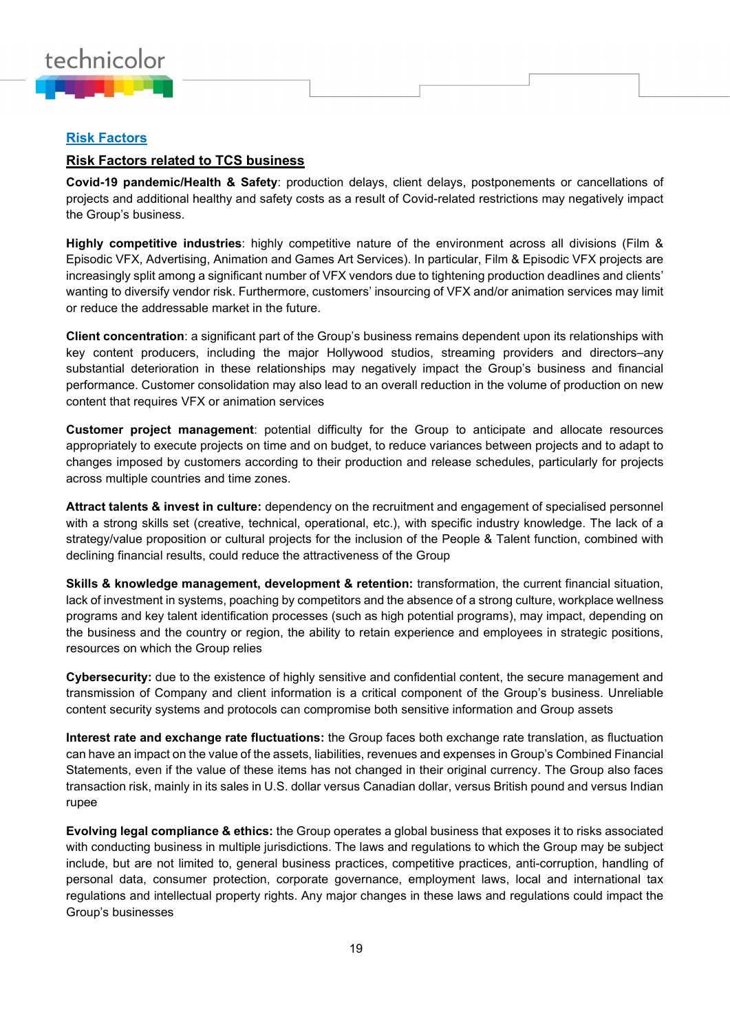

## **Risk Factors**

## **Risk Factors related to TCS business**

**Covid-19 pandemic/Health & Safety**: production delays, client delays, postponements or cancellations of projects and additional healthy and safety costs as a result of Covid-related restrictions may negatively impact the Group's business.

**Highly competitive industries**: highly competitive nature of the environment across all divisions (Film & Episodic VFX, Advertising, Animation and Games Art Services). In particular, Film & Episodic VFX projects are increasingly split among a significant number of VFX vendors due to tightening production deadlines and clients' wanting to diversify vendor risk. Furthermore, customers' insourcing of VFX and/or animation services may limit or reduce the addressable market in the future.

**Client concentration**: a significant part of the Group's business remains dependent upon its relationships with key content producers, including the major Hollywood studios, streaming providers and directors–any substantial deterioration in these relationships may negatively impact the Group's business and financial performance. Customer consolidation may also lead to an overall reduction in the volume of production on new content that requires VFX or animation services

**Customer project management**: potential difficulty for the Group to anticipate and allocate resources appropriately to execute projects on time and on budget, to reduce variances between projects and to adapt to changes imposed by customers according to their production and release schedules, particularly for projects across multiple countries and time zones.

**Attract talents & invest in culture:** dependency on the recruitment and engagement of specialised personnel with a strong skills set (creative, technical, operational, etc.), with specific industry knowledge. The lack of a strategy/value proposition or cultural projects for the inclusion of the People & Talent function, combined with declining financial results, could reduce the attractiveness of the Group

**Skills & knowledge management, development & retention:** transformation, the current financial situation, lack of investment in systems, poaching by competitors and the absence of a strong culture, workplace wellness programs and key talent identification processes (such as high potential programs), may impact, depending on the business and the country or region, the ability to retain experience and employees in strategic positions, resources on which the Group relies

**Cybersecurity:** due to the existence of highly sensitive and confidential content, the secure management and transmission of Company and client information is a critical component of the Group's business. Unreliable content security systems and protocols can compromise both sensitive information and Group assets

**Interest rate and exchange rate fluctuations:** the Group faces both exchange rate translation, as fluctuation can have an impact on the value of the assets, liabilities, revenues and expenses in Group's Combined Financial Statements, even if the value of these items has not changed in their original currency. The Group also faces transaction risk, mainly in its sales in U.S. dollar versus Canadian dollar, versus British pound and versus Indian rupee

**Evolving legal compliance & ethics:** the Group operates a global business that exposes it to risks associated with conducting business in multiple jurisdictions. The laws and regulations to which the Group may be subject include, but are not limited to, general business practices, competitive practices, anti-corruption, handling of personal data, consumer protection, corporate governance, employment laws, local and international tax regulations and intellectual property rights. Any major changes in these laws and regulations could impact the Group's businesses